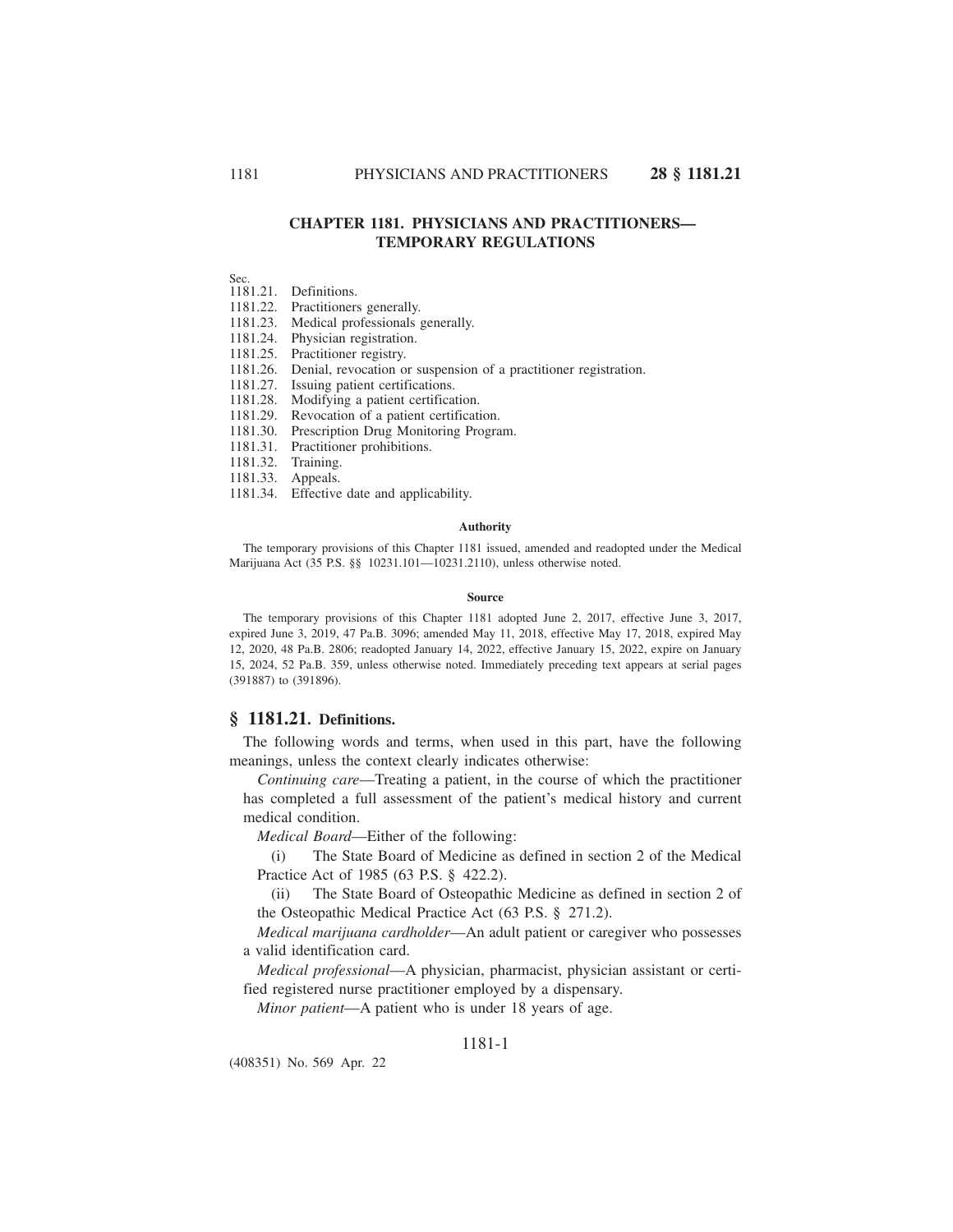## **CHAPTER 1181. PHYSICIANS AND PRACTITIONERS— TEMPORARY REGULATIONS**

Sec.

1181.21. Definitions.

1181.22. Practitioners generally.

1181.23. Medical professionals generally.

1181.24. Physician registration.

1181.25. Practitioner registry.

1181.26. Denial, revocation or suspension of a practitioner registration.

1181.27. Issuing patient certifications.

1181.28. Modifying a patient certification.

1181.29. Revocation of a patient certification.

1181.30. Prescription Drug Monitoring Program.

1181.31. Practitioner prohibitions.

1181.32. Training.

1181.33. Appeals.

1181.34. Effective date and applicability.

#### **Authority**

The temporary provisions of this Chapter 1181 issued, amended and readopted under the Medical Marijuana Act (35 P.S. §§ 10231.101—10231.2110), unless otherwise noted.

#### **Source**

The temporary provisions of this Chapter 1181 adopted June 2, 2017, effective June 3, 2017, expired June 3, 2019, 47 Pa.B. 3096; amended May 11, 2018, effective May 17, 2018, expired May 12, 2020, 48 Pa.B. 2806; readopted January 14, 2022, effective January 15, 2022, expire on January 15, 2024, 52 Pa.B. 359, unless otherwise noted. Immediately preceding text appears at serial pages (391887) to (391896).

## **§ 1181.21. Definitions.**

The following words and terms, when used in this part, have the following meanings, unless the context clearly indicates otherwise:

*Continuing care*—Treating a patient, in the course of which the practitioner has completed a full assessment of the patient's medical history and current medical condition.

*Medical Board*—Either of the following:

(i) The State Board of Medicine as defined in section 2 of the Medical Practice Act of 1985 (63 P.S. § 422.2).

(ii) The State Board of Osteopathic Medicine as defined in section 2 of the Osteopathic Medical Practice Act (63 P.S. § 271.2).

*Medical marijuana cardholder*—An adult patient or caregiver who possesses a valid identification card.

*Medical professional*—A physician, pharmacist, physician assistant or certified registered nurse practitioner employed by a dispensary.

*Minor patient*—A patient who is under 18 years of age.

## 1181-1

(408351) No. 569 Apr. 22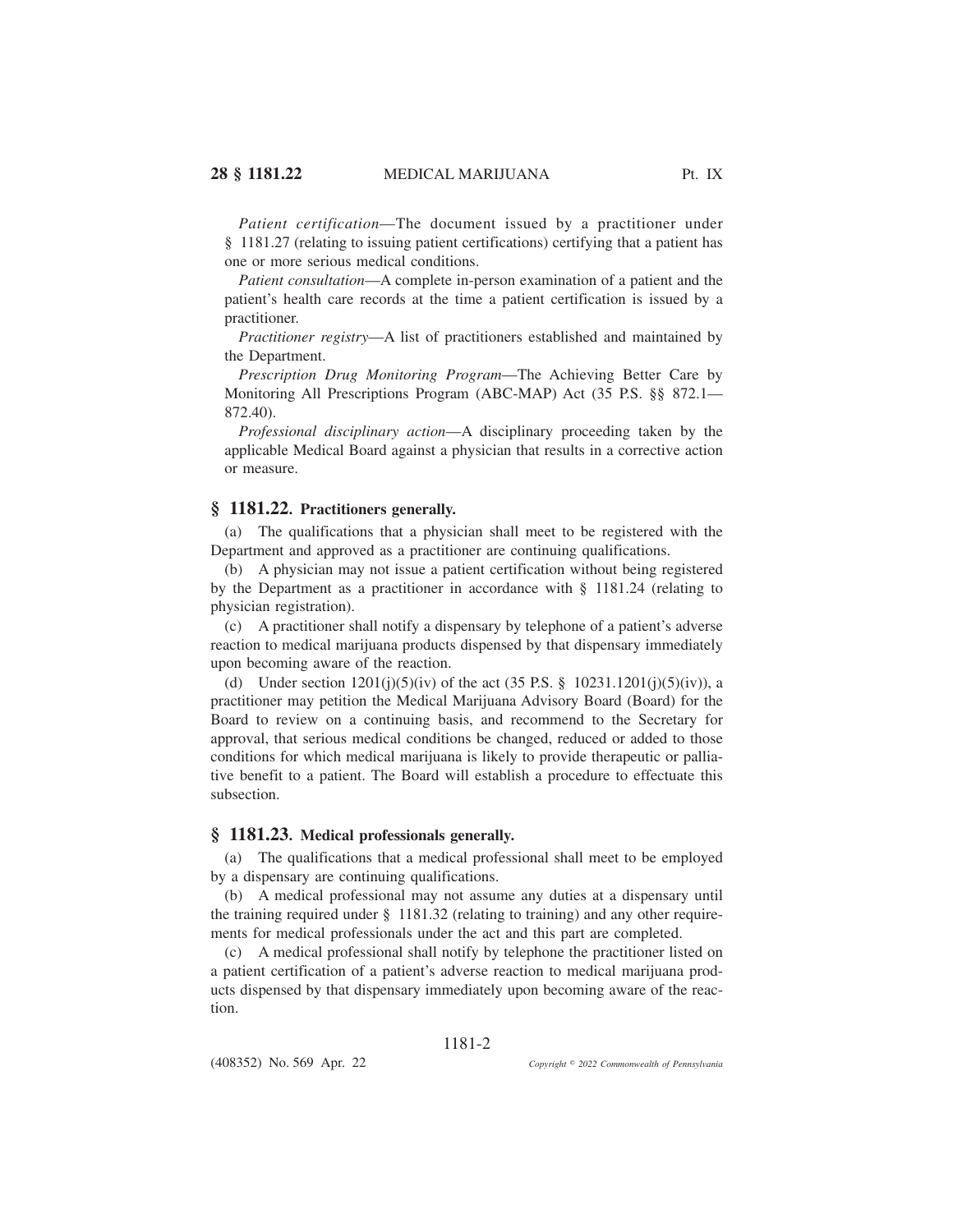*Patient certification*—The document issued by a practitioner under § 1181.27 (relating to issuing patient certifications) certifying that a patient has one or more serious medical conditions.

*Patient consultation*—A complete in-person examination of a patient and the patient's health care records at the time a patient certification is issued by a practitioner.

*Practitioner registry*—A list of practitioners established and maintained by the Department.

*Prescription Drug Monitoring Program*—The Achieving Better Care by Monitoring All Prescriptions Program (ABC-MAP) Act (35 P.S. §§ 872.1— 872.40).

*Professional disciplinary action*—A disciplinary proceeding taken by the applicable Medical Board against a physician that results in a corrective action or measure.

## **§ 1181.22. Practitioners generally.**

(a) The qualifications that a physician shall meet to be registered with the Department and approved as a practitioner are continuing qualifications.

(b) A physician may not issue a patient certification without being registered by the Department as a practitioner in accordance with § 1181.24 (relating to physician registration).

(c) A practitioner shall notify a dispensary by telephone of a patient's adverse reaction to medical marijuana products dispensed by that dispensary immediately upon becoming aware of the reaction.

(d) Under section  $1201(i)(5)(iv)$  of the act  $(35 \text{ P.S. } § 10231.1201(i)(5)(iv))$ , a practitioner may petition the Medical Marijuana Advisory Board (Board) for the Board to review on a continuing basis, and recommend to the Secretary for approval, that serious medical conditions be changed, reduced or added to those conditions for which medical marijuana is likely to provide therapeutic or palliative benefit to a patient. The Board will establish a procedure to effectuate this subsection.

### **§ 1181.23. Medical professionals generally.**

(a) The qualifications that a medical professional shall meet to be employed by a dispensary are continuing qualifications.

(b) A medical professional may not assume any duties at a dispensary until the training required under § 1181.32 (relating to training) and any other requirements for medical professionals under the act and this part are completed.

(c) A medical professional shall notify by telephone the practitioner listed on a patient certification of a patient's adverse reaction to medical marijuana products dispensed by that dispensary immediately upon becoming aware of the reaction.

1181-2

(408352) No. 569 Apr. 22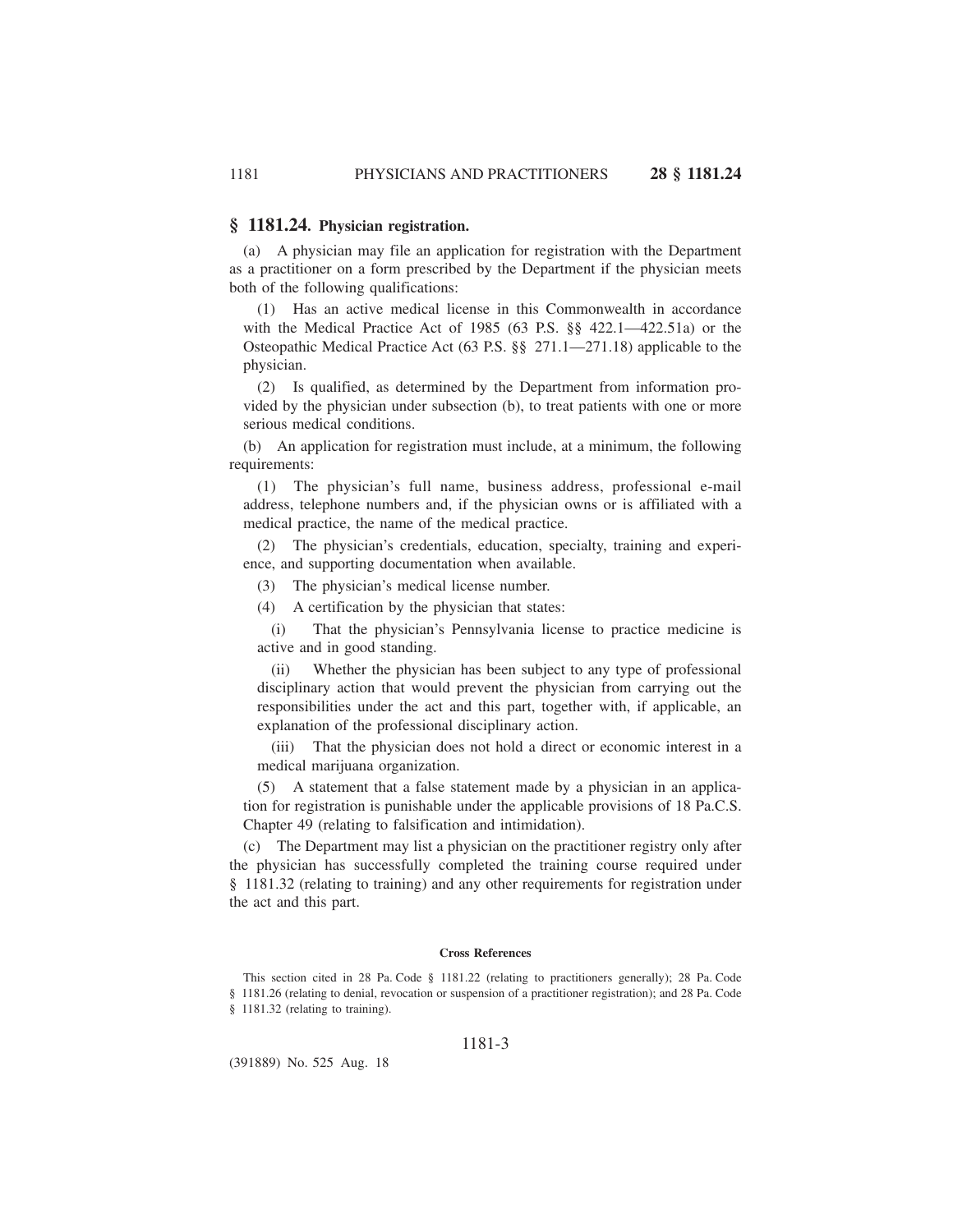## **§ 1181.24. Physician registration.**

(a) A physician may file an application for registration with the Department as a practitioner on a form prescribed by the Department if the physician meets both of the following qualifications:

(1) Has an active medical license in this Commonwealth in accordance with the Medical Practice Act of 1985 (63 P.S. §§ 422.1—422.51a) or the Osteopathic Medical Practice Act (63 P.S. §§ 271.1—271.18) applicable to the physician.

(2) Is qualified, as determined by the Department from information provided by the physician under subsection (b), to treat patients with one or more serious medical conditions.

(b) An application for registration must include, at a minimum, the following requirements:

(1) The physician's full name, business address, professional e-mail address, telephone numbers and, if the physician owns or is affiliated with a medical practice, the name of the medical practice.

(2) The physician's credentials, education, specialty, training and experience, and supporting documentation when available.

(3) The physician's medical license number.

(4) A certification by the physician that states:

(i) That the physician's Pennsylvania license to practice medicine is active and in good standing.

(ii) Whether the physician has been subject to any type of professional disciplinary action that would prevent the physician from carrying out the responsibilities under the act and this part, together with, if applicable, an explanation of the professional disciplinary action.

(iii) That the physician does not hold a direct or economic interest in a medical marijuana organization.

(5) A statement that a false statement made by a physician in an application for registration is punishable under the applicable provisions of 18 Pa.C.S. Chapter 49 (relating to falsification and intimidation).

(c) The Department may list a physician on the practitioner registry only after the physician has successfully completed the training course required under § 1181.32 (relating to training) and any other requirements for registration under the act and this part.

### **Cross References**

This section cited in 28 Pa. Code § 1181.22 (relating to practitioners generally); 28 Pa. Code § 1181.26 (relating to denial, revocation or suspension of a practitioner registration); and 28 Pa. Code § 1181.32 (relating to training).

### 1181-3

(391889) No. 525 Aug. 18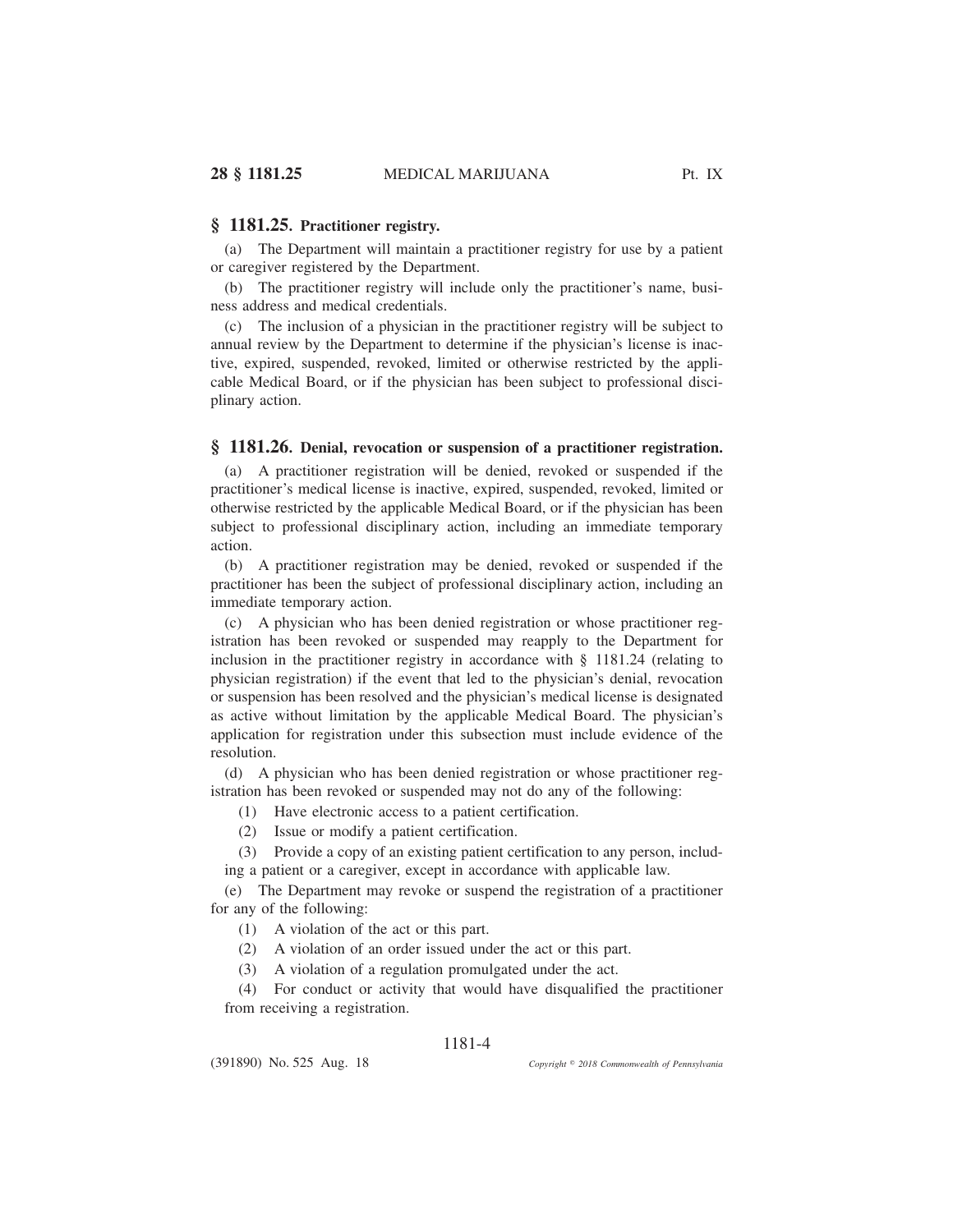## **§ 1181.25. Practitioner registry.**

(a) The Department will maintain a practitioner registry for use by a patient or caregiver registered by the Department.

(b) The practitioner registry will include only the practitioner's name, business address and medical credentials.

(c) The inclusion of a physician in the practitioner registry will be subject to annual review by the Department to determine if the physician's license is inactive, expired, suspended, revoked, limited or otherwise restricted by the applicable Medical Board, or if the physician has been subject to professional disciplinary action.

## **§ 1181.26. Denial, revocation or suspension of a practitioner registration.**

(a) A practitioner registration will be denied, revoked or suspended if the practitioner's medical license is inactive, expired, suspended, revoked, limited or otherwise restricted by the applicable Medical Board, or if the physician has been subject to professional disciplinary action, including an immediate temporary action.

(b) A practitioner registration may be denied, revoked or suspended if the practitioner has been the subject of professional disciplinary action, including an immediate temporary action.

(c) A physician who has been denied registration or whose practitioner registration has been revoked or suspended may reapply to the Department for inclusion in the practitioner registry in accordance with § 1181.24 (relating to physician registration) if the event that led to the physician's denial, revocation or suspension has been resolved and the physician's medical license is designated as active without limitation by the applicable Medical Board. The physician's application for registration under this subsection must include evidence of the resolution.

(d) A physician who has been denied registration or whose practitioner registration has been revoked or suspended may not do any of the following:

(1) Have electronic access to a patient certification.

(2) Issue or modify a patient certification.

(3) Provide a copy of an existing patient certification to any person, including a patient or a caregiver, except in accordance with applicable law.

(e) The Department may revoke or suspend the registration of a practitioner for any of the following:

(1) A violation of the act or this part.

(2) A violation of an order issued under the act or this part.

(3) A violation of a regulation promulgated under the act.

(4) For conduct or activity that would have disqualified the practitioner from receiving a registration.

## 1181-4

(391890) No. 525 Aug. 18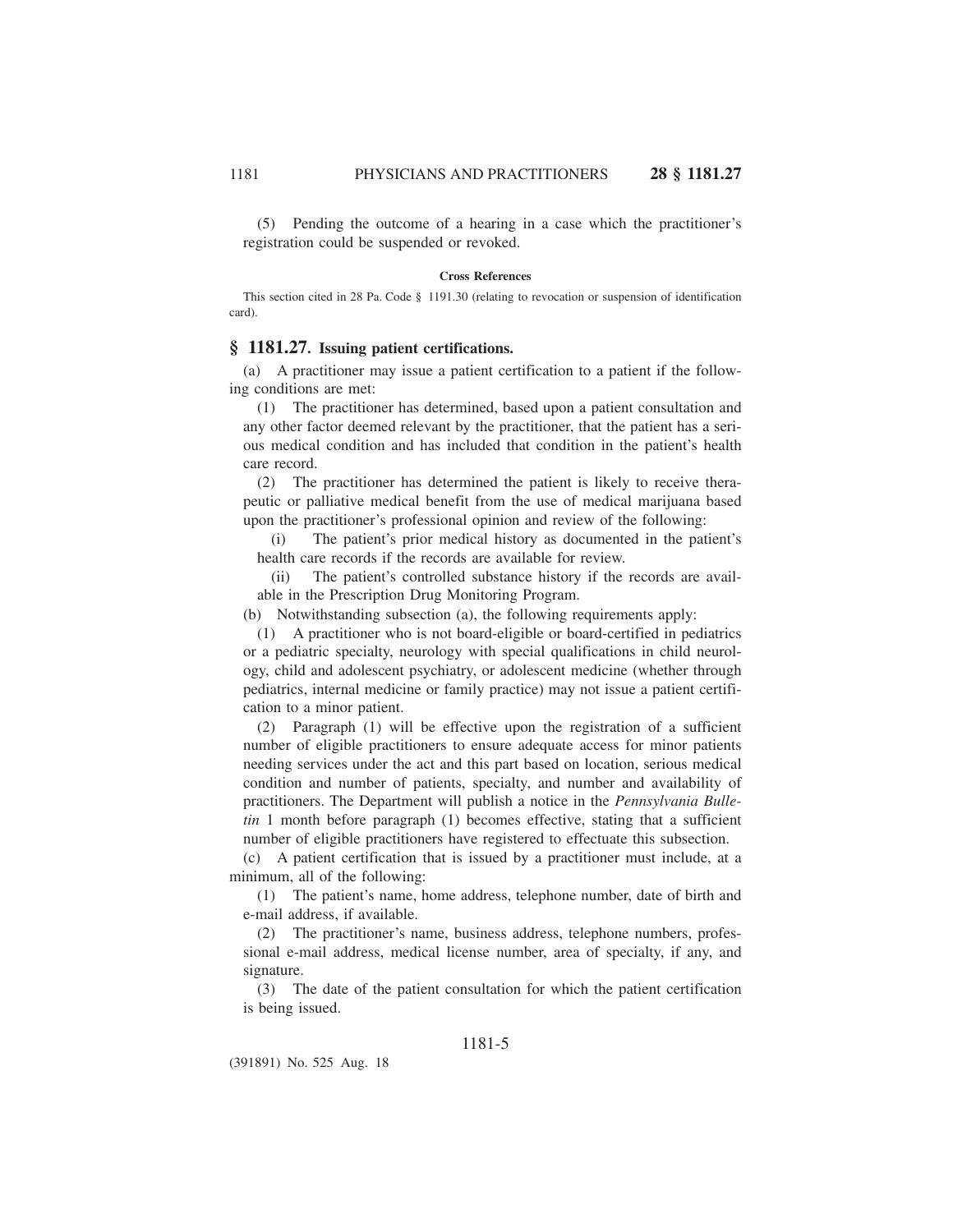(5) Pending the outcome of a hearing in a case which the practitioner's registration could be suspended or revoked.

#### **Cross References**

This section cited in 28 Pa. Code § 1191.30 (relating to revocation or suspension of identification card).

## **§ 1181.27. Issuing patient certifications.**

(a) A practitioner may issue a patient certification to a patient if the following conditions are met:

(1) The practitioner has determined, based upon a patient consultation and any other factor deemed relevant by the practitioner, that the patient has a serious medical condition and has included that condition in the patient's health care record.

(2) The practitioner has determined the patient is likely to receive therapeutic or palliative medical benefit from the use of medical marijuana based upon the practitioner's professional opinion and review of the following:

(i) The patient's prior medical history as documented in the patient's health care records if the records are available for review.

(ii) The patient's controlled substance history if the records are available in the Prescription Drug Monitoring Program.

(b) Notwithstanding subsection (a), the following requirements apply:

(1) A practitioner who is not board-eligible or board-certified in pediatrics or a pediatric specialty, neurology with special qualifications in child neurology, child and adolescent psychiatry, or adolescent medicine (whether through pediatrics, internal medicine or family practice) may not issue a patient certification to a minor patient.

(2) Paragraph (1) will be effective upon the registration of a sufficient number of eligible practitioners to ensure adequate access for minor patients needing services under the act and this part based on location, serious medical condition and number of patients, specialty, and number and availability of practitioners. The Department will publish a notice in the *Pennsylvania Bulletin* 1 month before paragraph (1) becomes effective, stating that a sufficient number of eligible practitioners have registered to effectuate this subsection.

(c) A patient certification that is issued by a practitioner must include, at a minimum, all of the following:

(1) The patient's name, home address, telephone number, date of birth and e-mail address, if available.

(2) The practitioner's name, business address, telephone numbers, professional e-mail address, medical license number, area of specialty, if any, and signature.

(3) The date of the patient consultation for which the patient certification is being issued.

(391891) No. 525 Aug. 18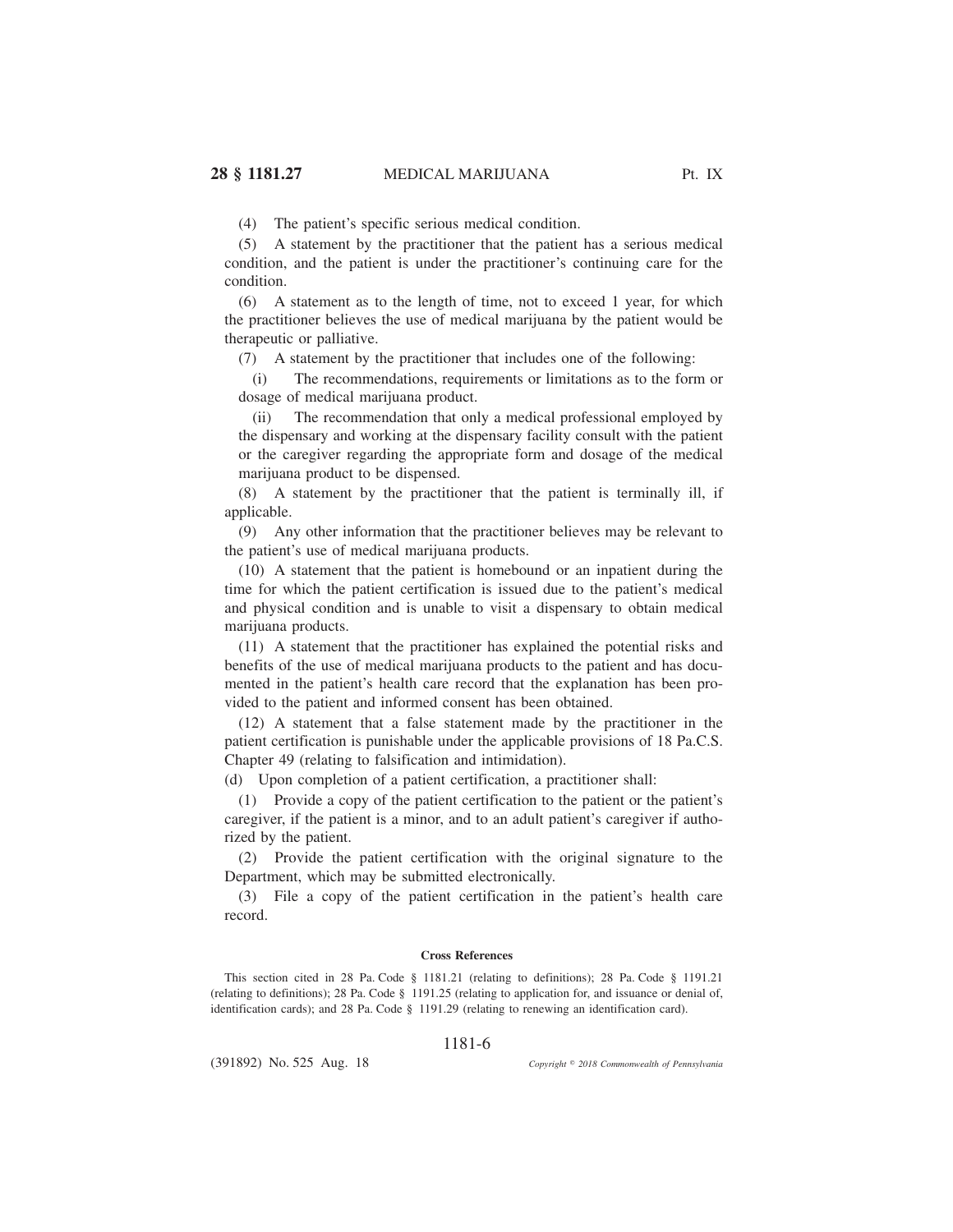(4) The patient's specific serious medical condition.

(5) A statement by the practitioner that the patient has a serious medical condition, and the patient is under the practitioner's continuing care for the condition.

(6) A statement as to the length of time, not to exceed 1 year, for which the practitioner believes the use of medical marijuana by the patient would be therapeutic or palliative.

(7) A statement by the practitioner that includes one of the following:

(i) The recommendations, requirements or limitations as to the form or dosage of medical marijuana product.

(ii) The recommendation that only a medical professional employed by the dispensary and working at the dispensary facility consult with the patient or the caregiver regarding the appropriate form and dosage of the medical marijuana product to be dispensed.

(8) A statement by the practitioner that the patient is terminally ill, if applicable.

(9) Any other information that the practitioner believes may be relevant to the patient's use of medical marijuana products.

(10) A statement that the patient is homebound or an inpatient during the time for which the patient certification is issued due to the patient's medical and physical condition and is unable to visit a dispensary to obtain medical marijuana products.

(11) A statement that the practitioner has explained the potential risks and benefits of the use of medical marijuana products to the patient and has documented in the patient's health care record that the explanation has been provided to the patient and informed consent has been obtained.

(12) A statement that a false statement made by the practitioner in the patient certification is punishable under the applicable provisions of 18 Pa.C.S. Chapter 49 (relating to falsification and intimidation).

(d) Upon completion of a patient certification, a practitioner shall:

(1) Provide a copy of the patient certification to the patient or the patient's caregiver, if the patient is a minor, and to an adult patient's caregiver if authorized by the patient.

(2) Provide the patient certification with the original signature to the Department, which may be submitted electronically.

(3) File a copy of the patient certification in the patient's health care record.

#### **Cross References**

This section cited in 28 Pa. Code § 1181.21 (relating to definitions); 28 Pa. Code § 1191.21 (relating to definitions); 28 Pa. Code § 1191.25 (relating to application for, and issuance or denial of, identification cards); and 28 Pa. Code § 1191.29 (relating to renewing an identification card).

#### 1181-6

(391892) No. 525 Aug. 18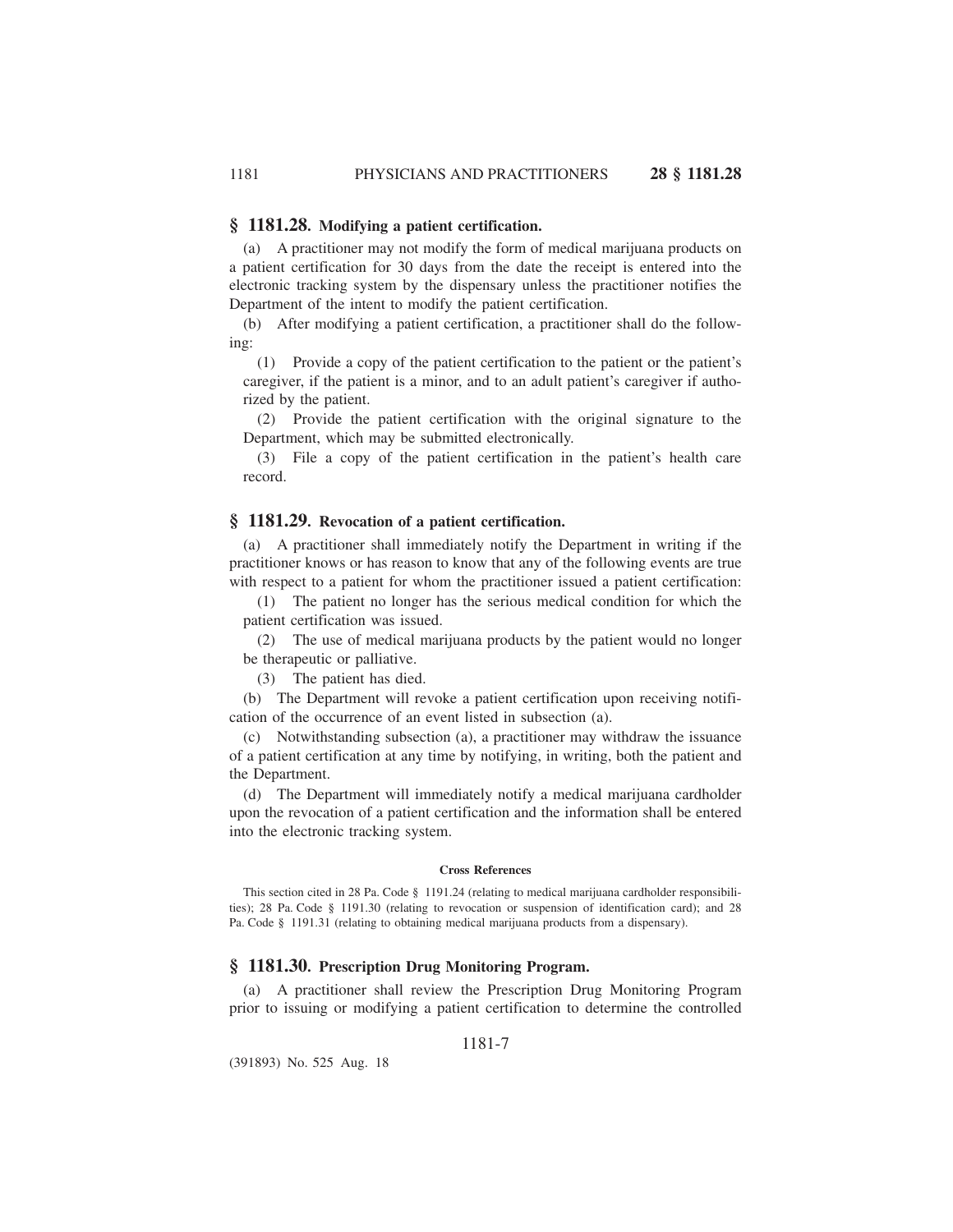### **§ 1181.28. Modifying a patient certification.**

(a) A practitioner may not modify the form of medical marijuana products on a patient certification for 30 days from the date the receipt is entered into the electronic tracking system by the dispensary unless the practitioner notifies the Department of the intent to modify the patient certification.

(b) After modifying a patient certification, a practitioner shall do the following:

(1) Provide a copy of the patient certification to the patient or the patient's caregiver, if the patient is a minor, and to an adult patient's caregiver if authorized by the patient.

(2) Provide the patient certification with the original signature to the Department, which may be submitted electronically.

(3) File a copy of the patient certification in the patient's health care record.

## **§ 1181.29. Revocation of a patient certification.**

(a) A practitioner shall immediately notify the Department in writing if the practitioner knows or has reason to know that any of the following events are true with respect to a patient for whom the practitioner issued a patient certification:

(1) The patient no longer has the serious medical condition for which the patient certification was issued.

(2) The use of medical marijuana products by the patient would no longer be therapeutic or palliative.

(3) The patient has died.

(b) The Department will revoke a patient certification upon receiving notification of the occurrence of an event listed in subsection (a).

(c) Notwithstanding subsection (a), a practitioner may withdraw the issuance of a patient certification at any time by notifying, in writing, both the patient and the Department.

(d) The Department will immediately notify a medical marijuana cardholder upon the revocation of a patient certification and the information shall be entered into the electronic tracking system.

#### **Cross References**

This section cited in 28 Pa. Code § 1191.24 (relating to medical marijuana cardholder responsibilities); 28 Pa. Code § 1191.30 (relating to revocation or suspension of identification card); and 28 Pa. Code § 1191.31 (relating to obtaining medical marijuana products from a dispensary).

## **§ 1181.30. Prescription Drug Monitoring Program.**

(a) A practitioner shall review the Prescription Drug Monitoring Program prior to issuing or modifying a patient certification to determine the controlled

1181-7

(391893) No. 525 Aug. 18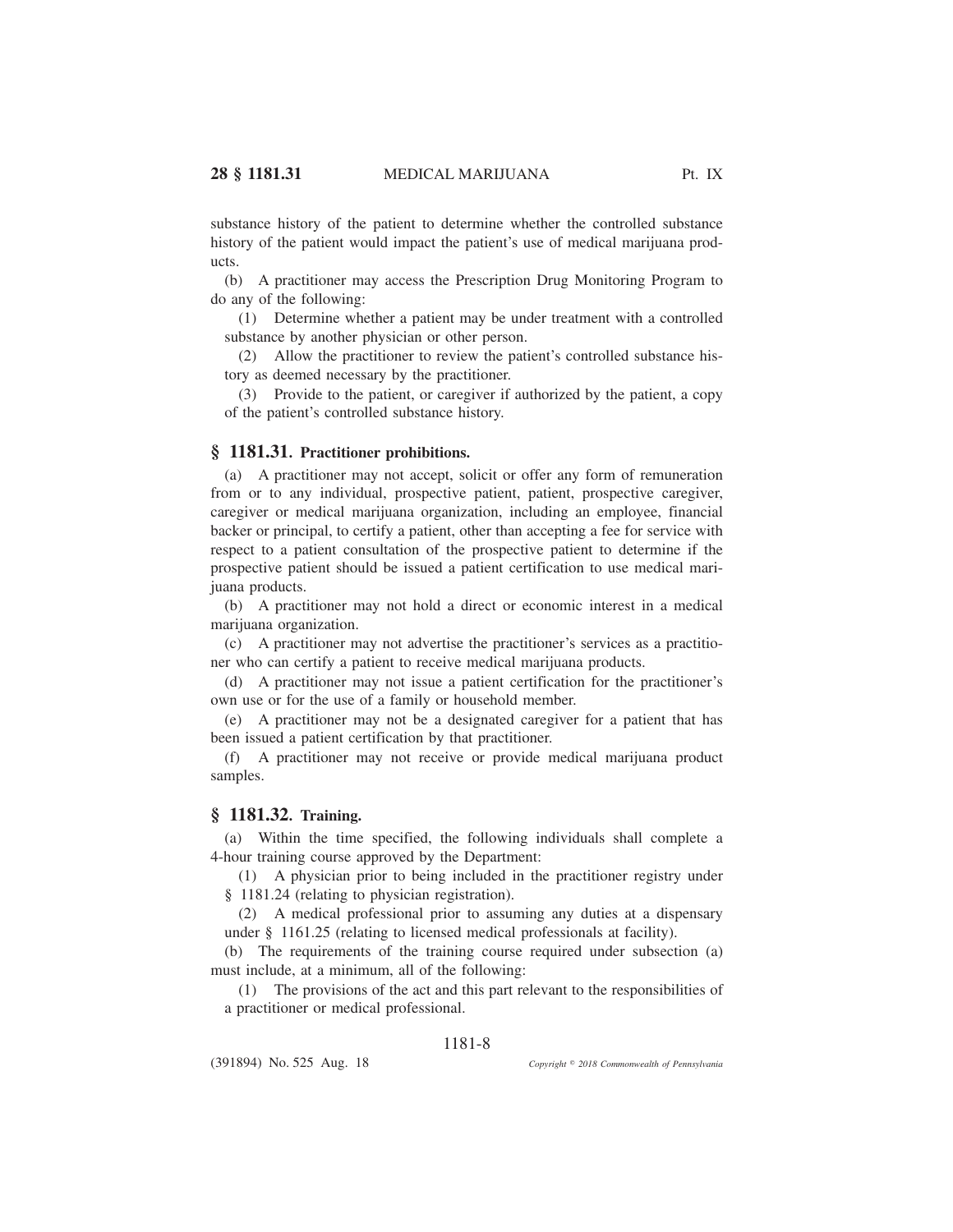substance history of the patient to determine whether the controlled substance history of the patient would impact the patient's use of medical marijuana products.

(b) A practitioner may access the Prescription Drug Monitoring Program to do any of the following:

(1) Determine whether a patient may be under treatment with a controlled substance by another physician or other person.

(2) Allow the practitioner to review the patient's controlled substance history as deemed necessary by the practitioner.

(3) Provide to the patient, or caregiver if authorized by the patient, a copy of the patient's controlled substance history.

## **§ 1181.31. Practitioner prohibitions.**

(a) A practitioner may not accept, solicit or offer any form of remuneration from or to any individual, prospective patient, patient, prospective caregiver, caregiver or medical marijuana organization, including an employee, financial backer or principal, to certify a patient, other than accepting a fee for service with respect to a patient consultation of the prospective patient to determine if the prospective patient should be issued a patient certification to use medical marijuana products.

(b) A practitioner may not hold a direct or economic interest in a medical marijuana organization.

(c) A practitioner may not advertise the practitioner's services as a practitioner who can certify a patient to receive medical marijuana products.

(d) A practitioner may not issue a patient certification for the practitioner's own use or for the use of a family or household member.

(e) A practitioner may not be a designated caregiver for a patient that has been issued a patient certification by that practitioner.

(f) A practitioner may not receive or provide medical marijuana product samples.

## **§ 1181.32. Training.**

(a) Within the time specified, the following individuals shall complete a 4-hour training course approved by the Department:

(1) A physician prior to being included in the practitioner registry under § 1181.24 (relating to physician registration).

(2) A medical professional prior to assuming any duties at a dispensary under § 1161.25 (relating to licensed medical professionals at facility).

(b) The requirements of the training course required under subsection (a) must include, at a minimum, all of the following:

(1) The provisions of the act and this part relevant to the responsibilities of a practitioner or medical professional.

### 1181-8

(391894) No. 525 Aug. 18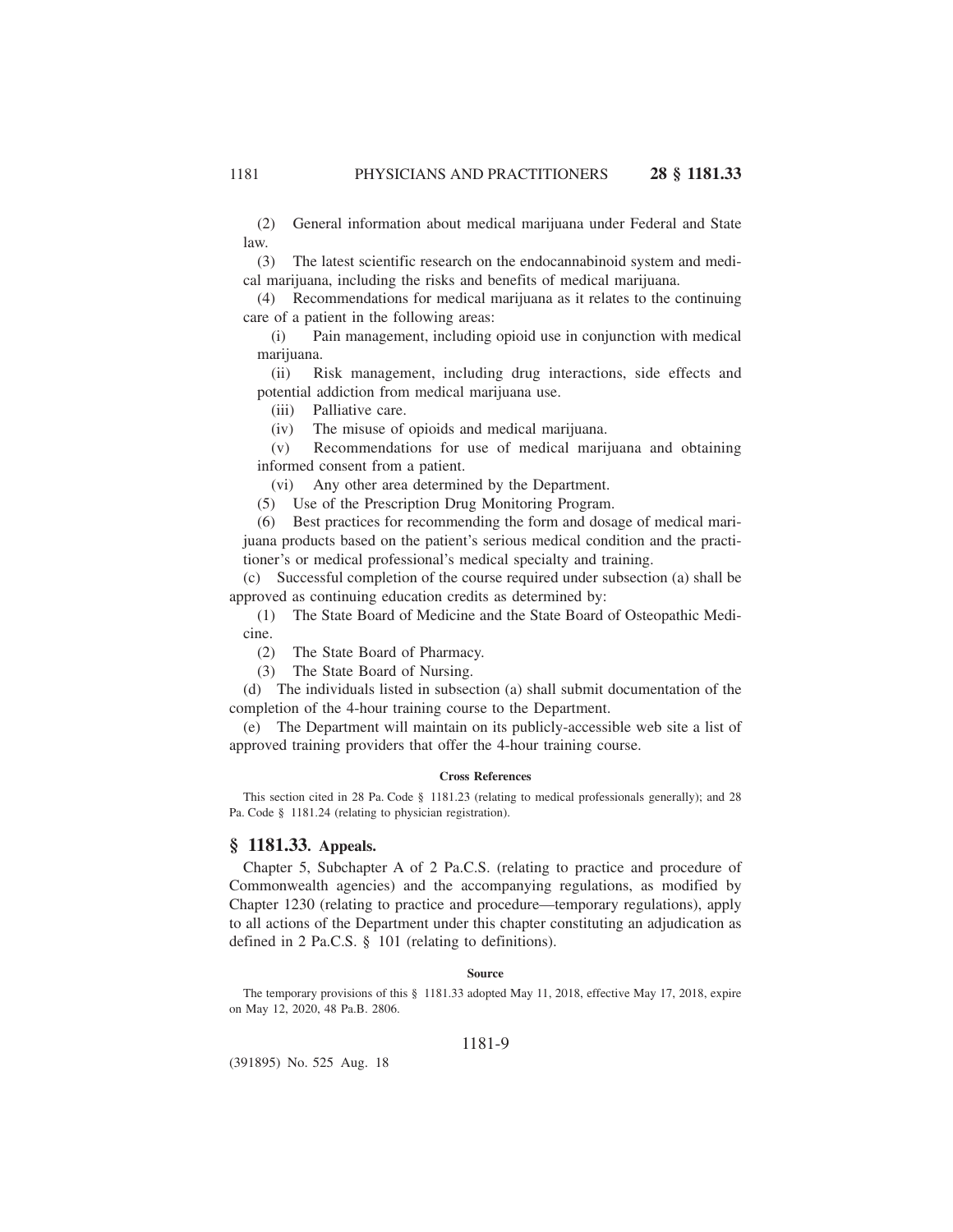(2) General information about medical marijuana under Federal and State law.

(3) The latest scientific research on the endocannabinoid system and medical marijuana, including the risks and benefits of medical marijuana.

(4) Recommendations for medical marijuana as it relates to the continuing care of a patient in the following areas:

(i) Pain management, including opioid use in conjunction with medical marijuana.

(ii) Risk management, including drug interactions, side effects and potential addiction from medical marijuana use.

(iii) Palliative care.

(iv) The misuse of opioids and medical marijuana.

(v) Recommendations for use of medical marijuana and obtaining informed consent from a patient.

(vi) Any other area determined by the Department.

(5) Use of the Prescription Drug Monitoring Program.

(6) Best practices for recommending the form and dosage of medical marijuana products based on the patient's serious medical condition and the practitioner's or medical professional's medical specialty and training.

(c) Successful completion of the course required under subsection (a) shall be approved as continuing education credits as determined by:

(1) The State Board of Medicine and the State Board of Osteopathic Medicine.

(2) The State Board of Pharmacy.

(3) The State Board of Nursing.

(d) The individuals listed in subsection (a) shall submit documentation of the completion of the 4-hour training course to the Department.

(e) The Department will maintain on its publicly-accessible web site a list of approved training providers that offer the 4-hour training course.

#### **Cross References**

This section cited in 28 Pa. Code § 1181.23 (relating to medical professionals generally); and 28 Pa. Code § 1181.24 (relating to physician registration).

## **§ 1181.33. Appeals.**

Chapter 5, Subchapter A of 2 Pa.C.S. (relating to practice and procedure of Commonwealth agencies) and the accompanying regulations, as modified by Chapter 1230 (relating to practice and procedure—temporary regulations), apply to all actions of the Department under this chapter constituting an adjudication as defined in 2 Pa.C.S. § 101 (relating to definitions).

#### **Source**

The temporary provisions of this § 1181.33 adopted May 11, 2018, effective May 17, 2018, expire on May 12, 2020, 48 Pa.B. 2806.

### 1181-9

(391895) No. 525 Aug. 18